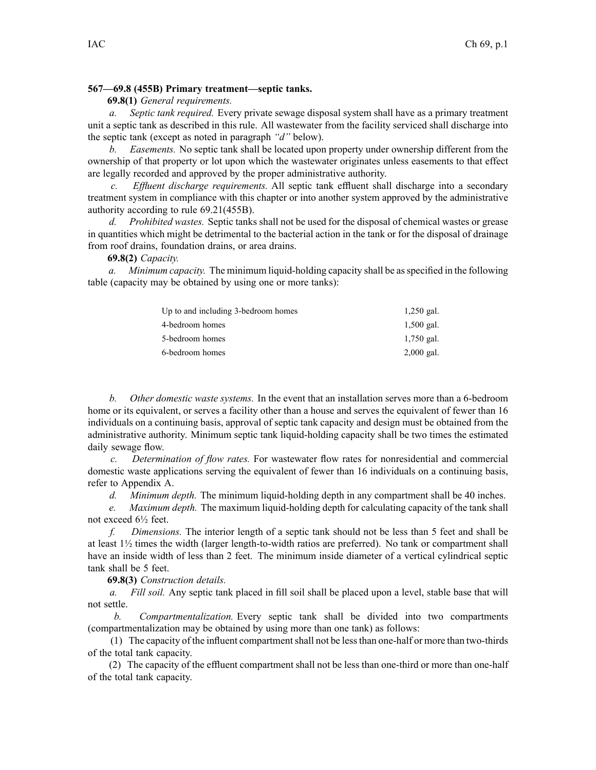# **567—69.8 (455B) Primary treatment—septic tanks.**

## **69.8(1)** *General requirements.*

*a. Septic tank required.* Every private sewage disposal system shall have as <sup>a</sup> primary treatment unit <sup>a</sup> septic tank as described in this rule. All wastewater from the facility serviced shall discharge into the septic tank (except as noted in paragraph *"d"* below).

*b. Easements.* No septic tank shall be located upon property under ownership different from the ownership of that property or lot upon which the wastewater originates unless easements to that effect are legally recorded and approved by the proper administrative authority.

*c. Effluent discharge requirements.* All septic tank effluent shall discharge into <sup>a</sup> secondary treatment system in compliance with this chapter or into another system approved by the administrative authority according to rule 69.21(455B).

*d. Prohibited wastes.* Septic tanks shall not be used for the disposal of chemical wastes or grease in quantities which might be detrimental to the bacterial action in the tank or for the disposal of drainage from roof drains, foundation drains, or area drains.

# **69.8(2)** *Capacity.*

*a. Minimum capacity.* The minimum liquid-holding capacity shall be asspecified in the following table (capacity may be obtained by using one or more tanks):

| Up to and including 3-bedroom homes | $1,250$ gal. |
|-------------------------------------|--------------|
| 4-bedroom homes                     | $1,500$ gal. |
| 5-bedroom homes                     | $1,750$ gal. |
| 6-bedroom homes                     | $2,000$ gal. |

*b. Other domestic waste systems.* In the event that an installation serves more than <sup>a</sup> 6-bedroom home or its equivalent, or serves <sup>a</sup> facility other than <sup>a</sup> house and serves the equivalent of fewer than 16 individuals on <sup>a</sup> continuing basis, approval of septic tank capacity and design must be obtained from the administrative authority. Minimum septic tank liquid-holding capacity shall be two times the estimated daily sewage flow.

*c. Determination of flow rates.* For wastewater flow rates for nonresidential and commercial domestic waste applications serving the equivalent of fewer than 16 individuals on <sup>a</sup> continuing basis, refer to Appendix A.

*d. Minimum depth.* The minimum liquid-holding depth in any compartment shall be 40 inches.

*e. Maximum depth.* The maximum liquid-holding depth for calculating capacity of the tank shall not exceed 6½ feet.

*f. Dimensions.* The interior length of <sup>a</sup> septic tank should not be less than 5 feet and shall be at least 1½ times the width (larger length-to-width ratios are preferred). No tank or compartment shall have an inside width of less than 2 feet. The minimum inside diameter of <sup>a</sup> vertical cylindrical septic tank shall be 5 feet.

**69.8(3)** *Construction details.*

*a. Fill soil.* Any septic tank placed in fill soil shall be placed upon <sup>a</sup> level, stable base that will not settle.

*b. Compartmentalization.* Every septic tank shall be divided into two compartments (compartmentalization may be obtained by using more than one tank) as follows:

(1) The capacity of the influent compartmentshall not be lessthan one-half or more than two-thirds of the total tank capacity.

(2) The capacity of the effluent compartment shall not be less than one-third or more than one-half of the total tank capacity.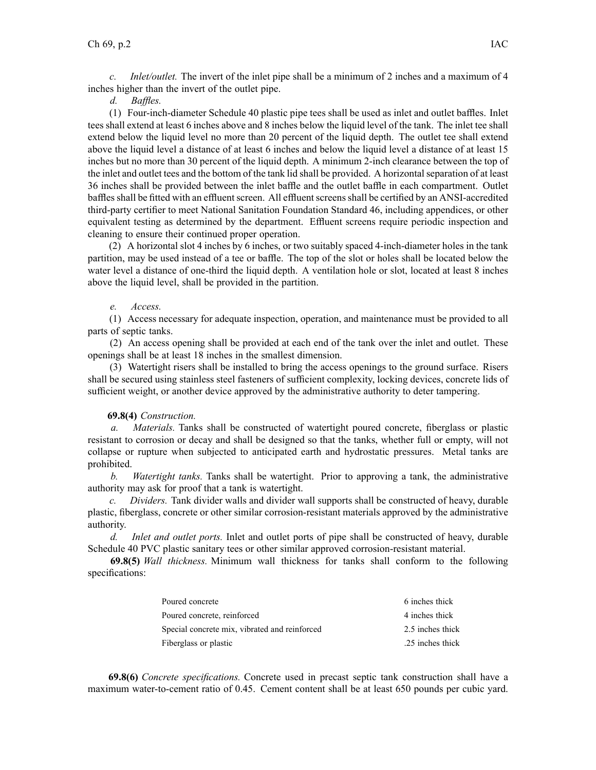*c. Inlet/outlet.* The invert of the inlet pipe shall be <sup>a</sup> minimum of 2 inches and <sup>a</sup> maximum of 4 inches higher than the invert of the outlet pipe.

### *d. Baffles.*

(1) Four-inch-diameter Schedule 40 plastic pipe tees shall be used as inlet and outlet baffles. Inlet tees shall extend at least 6 inches above and 8 inches below the liquid level of the tank. The inlet tee shall extend below the liquid level no more than 20 percen<sup>t</sup> of the liquid depth. The outlet tee shall extend above the liquid level <sup>a</sup> distance of at least 6 inches and below the liquid level <sup>a</sup> distance of at least 15 inches but no more than 30 percen<sup>t</sup> of the liquid depth. A minimum 2-inch clearance between the top of the inlet and outlet tees and the bottom of the tank lid shall be provided. A horizontalseparation of at least 36 inches shall be provided between the inlet baffle and the outlet baffle in each compartment. Outlet baffles shall be fitted with an effluent screen. All effluent screens shall be certified by an ANSI-accredited third-party certifier to meet National Sanitation Foundation Standard 46, including appendices, or other equivalent testing as determined by the department. Effluent screens require periodic inspection and cleaning to ensure their continued proper operation.

(2) A horizontal slot 4 inches by 6 inches, or two suitably spaced 4-inch-diameter holes in the tank partition, may be used instead of <sup>a</sup> tee or baffle. The top of the slot or holes shall be located below the water level <sup>a</sup> distance of one-third the liquid depth. A ventilation hole or slot, located at least 8 inches above the liquid level, shall be provided in the partition.

#### *e. Access.*

(1) Access necessary for adequate inspection, operation, and maintenance must be provided to all parts of septic tanks.

(2) An access opening shall be provided at each end of the tank over the inlet and outlet. These openings shall be at least 18 inches in the smallest dimension.

(3) Watertight risers shall be installed to bring the access openings to the ground surface. Risers shall be secured using stainless steel fasteners of sufficient complexity, locking devices, concrete lids of sufficient weight, or another device approved by the administrative authority to deter tampering.

### **69.8(4)** *Construction.*

*a. Materials.* Tanks shall be constructed of watertight poured concrete, fiberglass or plastic resistant to corrosion or decay and shall be designed so that the tanks, whether full or empty, will not collapse or rupture when subjected to anticipated earth and hydrostatic pressures. Metal tanks are prohibited.

*b. Watertight tanks.* Tanks shall be watertight. Prior to approving <sup>a</sup> tank, the administrative authority may ask for proof that <sup>a</sup> tank is watertight.

*c. Dividers.* Tank divider walls and divider wall supports shall be constructed of heavy, durable plastic, fiberglass, concrete or other similar corrosion-resistant materials approved by the administrative authority.

*d. Inlet and outlet ports.* Inlet and outlet ports of pipe shall be constructed of heavy, durable Schedule 40 PVC plastic sanitary tees or other similar approved corrosion-resistant material.

**69.8(5)** *Wall thickness.* Minimum wall thickness for tanks shall conform to the following specifications:

| Poured concrete                               | 6 inches thick   |
|-----------------------------------------------|------------------|
| Poured concrete, reinforced                   | 4 inches thick   |
| Special concrete mix, vibrated and reinforced | 2.5 inches thick |
| Fiberglass or plastic                         | .25 inches thick |

**69.8(6)** *Concrete specifications.* Concrete used in precas<sup>t</sup> septic tank construction shall have <sup>a</sup> maximum water-to-cement ratio of 0.45. Cement content shall be at least 650 pounds per cubic yard.